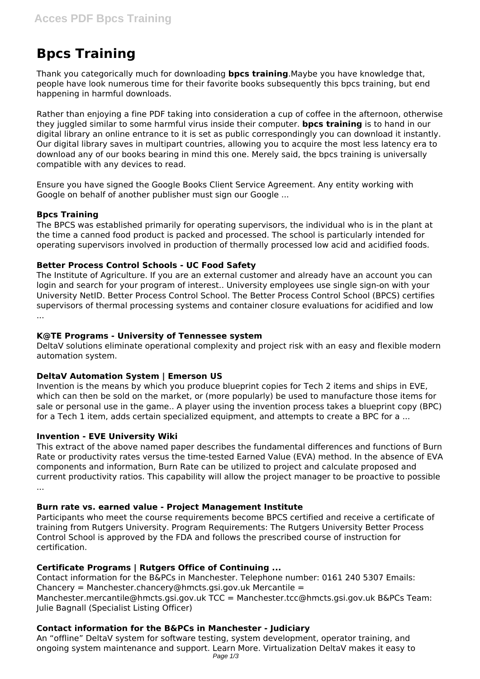# **Bpcs Training**

Thank you categorically much for downloading **bpcs training**.Maybe you have knowledge that, people have look numerous time for their favorite books subsequently this bpcs training, but end happening in harmful downloads.

Rather than enjoying a fine PDF taking into consideration a cup of coffee in the afternoon, otherwise they juggled similar to some harmful virus inside their computer. **bpcs training** is to hand in our digital library an online entrance to it is set as public correspondingly you can download it instantly. Our digital library saves in multipart countries, allowing you to acquire the most less latency era to download any of our books bearing in mind this one. Merely said, the bpcs training is universally compatible with any devices to read.

Ensure you have signed the Google Books Client Service Agreement. Any entity working with Google on behalf of another publisher must sign our Google ...

# **Bpcs Training**

The BPCS was established primarily for operating supervisors, the individual who is in the plant at the time a canned food product is packed and processed. The school is particularly intended for operating supervisors involved in production of thermally processed low acid and acidified foods.

#### **Better Process Control Schools - UC Food Safety**

The Institute of Agriculture. If you are an external customer and already have an account you can login and search for your program of interest.. University employees use single sign-on with your University NetID. Better Process Control School. The Better Process Control School (BPCS) certifies supervisors of thermal processing systems and container closure evaluations for acidified and low ...

#### **K@TE Programs - University of Tennessee system**

DeltaV solutions eliminate operational complexity and project risk with an easy and flexible modern automation system.

# **DeltaV Automation System | Emerson US**

Invention is the means by which you produce blueprint copies for Tech 2 items and ships in EVE, which can then be sold on the market, or (more popularly) be used to manufacture those items for sale or personal use in the game.. A player using the invention process takes a blueprint copy (BPC) for a Tech 1 item, adds certain specialized equipment, and attempts to create a BPC for a ...

#### **Invention - EVE University Wiki**

This extract of the above named paper describes the fundamental differences and functions of Burn Rate or productivity rates versus the time-tested Earned Value (EVA) method. In the absence of EVA components and information, Burn Rate can be utilized to project and calculate proposed and current productivity ratios. This capability will allow the project manager to be proactive to possible ...

#### **Burn rate vs. earned value - Project Management Institute**

Participants who meet the course requirements become BPCS certified and receive a certificate of training from Rutgers University. Program Requirements: The Rutgers University Better Process Control School is approved by the FDA and follows the prescribed course of instruction for certification.

# **Certificate Programs | Rutgers Office of Continuing ...**

Contact information for the B&PCs in Manchester. Telephone number: 0161 240 5307 Emails: Chancery = Manchester.chancery@hmcts.gsi.gov.uk Mercantile = Manchester.mercantile@hmcts.gsi.gov.uk TCC = Manchester.tcc@hmcts.gsi.gov.uk B&PCs Team: Julie Bagnall (Specialist Listing Officer)

# **Contact information for the B&PCs in Manchester - Judiciary**

An "offline" DeltaV system for software testing, system development, operator training, and ongoing system maintenance and support. Learn More. Virtualization DeltaV makes it easy to Page 1/3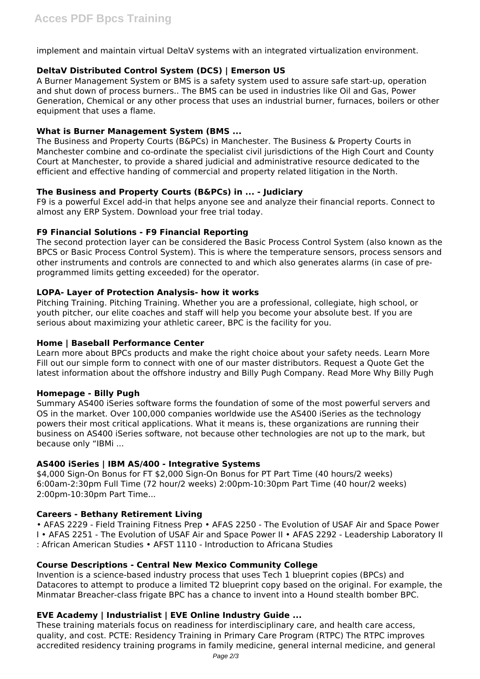implement and maintain virtual DeltaV systems with an integrated virtualization environment.

# **DeltaV Distributed Control System (DCS) | Emerson US**

A Burner Management System or BMS is a safety system used to assure safe start-up, operation and shut down of process burners.. The BMS can be used in industries like Oil and Gas, Power Generation, Chemical or any other process that uses an industrial burner, furnaces, boilers or other equipment that uses a flame.

# **What is Burner Management System (BMS ...**

The Business and Property Courts (B&PCs) in Manchester. The Business & Property Courts in Manchester combine and co-ordinate the specialist civil jurisdictions of the High Court and County Court at Manchester, to provide a shared judicial and administrative resource dedicated to the efficient and effective handing of commercial and property related litigation in the North.

# **The Business and Property Courts (B&PCs) in ... - Judiciary**

F9 is a powerful Excel add-in that helps anyone see and analyze their financial reports. Connect to almost any ERP System. Download your free trial today.

# **F9 Financial Solutions - F9 Financial Reporting**

The second protection layer can be considered the Basic Process Control System (also known as the BPCS or Basic Process Control System). This is where the temperature sensors, process sensors and other instruments and controls are connected to and which also generates alarms (in case of preprogrammed limits getting exceeded) for the operator.

# **LOPA- Layer of Protection Analysis- how it works**

Pitching Training. Pitching Training. Whether you are a professional, collegiate, high school, or youth pitcher, our elite coaches and staff will help you become your absolute best. If you are serious about maximizing your athletic career, BPC is the facility for you.

# **Home | Baseball Performance Center**

Learn more about BPCs products and make the right choice about your safety needs. Learn More Fill out our simple form to connect with one of our master distributors. Request a Quote Get the latest information about the offshore industry and Billy Pugh Company. Read More Why Billy Pugh

# **Homepage - Billy Pugh**

Summary AS400 iSeries software forms the foundation of some of the most powerful servers and OS in the market. Over 100,000 companies worldwide use the AS400 iSeries as the technology powers their most critical applications. What it means is, these organizations are running their business on AS400 iSeries software, not because other technologies are not up to the mark, but because only "IBMi ...

# **AS400 iSeries | IBM AS/400 - Integrative Systems**

\$4,000 Sign-On Bonus for FT \$2,000 Sign-On Bonus for PT Part Time (40 hours/2 weeks) 6:00am-2:30pm Full Time (72 hour/2 weeks) 2:00pm-10:30pm Part Time (40 hour/2 weeks) 2:00pm-10:30pm Part Time...

# **Careers - Bethany Retirement Living**

• AFAS 2229 - Field Training Fitness Prep • AFAS 2250 - The Evolution of USAF Air and Space Power I • AFAS 2251 - The Evolution of USAF Air and Space Power II • AFAS 2292 - Leadership Laboratory II : African American Studies • AFST 1110 - Introduction to Africana Studies

# **Course Descriptions - Central New Mexico Community College**

Invention is a science-based industry process that uses Tech 1 blueprint copies (BPCs) and Datacores to attempt to produce a limited T2 blueprint copy based on the original. For example, the Minmatar Breacher-class frigate BPC has a chance to invent into a Hound stealth bomber BPC.

# **EVE Academy | Industrialist | EVE Online Industry Guide ...**

These training materials focus on readiness for interdisciplinary care, and health care access, quality, and cost. PCTE: Residency Training in Primary Care Program (RTPC) The RTPC improves accredited residency training programs in family medicine, general internal medicine, and general